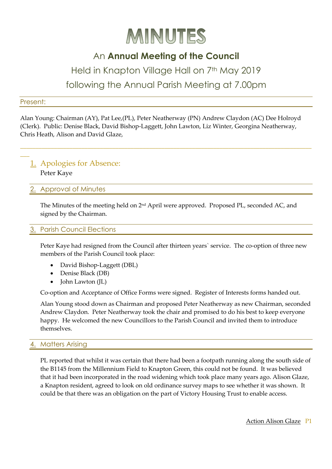

## An **Annual Meeting of the Council**

## Held in Knapton Village Hall on 7<sup>th</sup> May 2019 following the Annual Parish Meeting at 7.00pm

#### Present:

 $\overline{\phantom{a}}$ 

Alan Young: Chairman (AY), Pat Lee,(PL), Peter Neatherway (PN) Andrew Claydon (AC) Dee Holroyd (Clerk). Public: Denise Black, David Bishop-Laggett, John Lawton, Liz Winter, Georgina Neatherway, Chris Heath, Alison and David Glaze,

\_\_\_\_\_\_\_\_\_\_\_\_\_\_\_\_\_\_\_\_\_\_\_\_\_\_\_\_\_\_\_\_\_\_\_\_\_\_\_\_\_\_\_\_\_\_\_\_\_\_\_\_\_\_\_\_\_\_\_\_\_\_\_\_\_\_\_\_\_\_\_\_\_\_\_\_\_\_\_\_\_\_\_\_\_\_\_\_\_\_\_\_\_\_\_

# 1. Apologies for Absence:

Peter Kaye

## 2. Approval of Minutes

The Minutes of the meeting held on 2nd April were approved. Proposed PL, seconded AC, and signed by the Chairman.

## **Parish Council Elections**

Peter Kaye had resigned from the Council after thirteen years` service. The co-option of three new members of the Parish Council took place:

- David Bishop-Laggett (DBL)
- Denise Black (DB)
- John Lawton (JL)

Co-option and Acceptance of Office Forms were signed. Register of Interests forms handed out.

Alan Young stood down as Chairman and proposed Peter Neatherway as new Chairman, seconded Andrew Claydon. Peter Neatherway took the chair and promised to do his best to keep everyone happy. He welcomed the new Councillors to the Parish Council and invited them to introduce themselves.

## **Matters Arising**

PL reported that whilst it was certain that there had been a footpath running along the south side of the B1145 from the Millennium Field to Knapton Green, this could not be found. It was believed that it had been incorporated in the road widening which took place many years ago. Alison Glaze, a Knapton resident, agreed to look on old ordinance survey maps to see whether it was shown. It could be that there was an obligation on the part of Victory Housing Trust to enable access.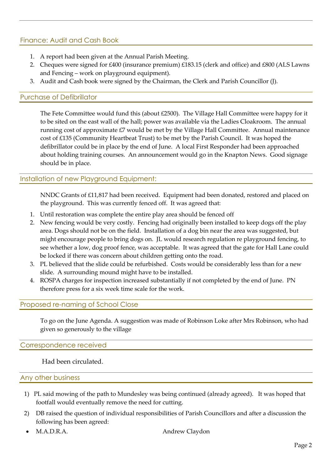## Finance: Audit and Cash Book

- 1. A report had been given at the Annual Parish Meeting.
- 2. Cheques were signed for £400 (insurance premium) £183.15 (clerk and office) and £800 (ALS Lawns and Fencing – work on playground equipment).
- 3. Audit and Cash book were signed by the Chairman, the Clerk and Parish Councillor (J).

## Purchase of Defibrillator

The Fete Committee would fund this (about £2500). The Village Hall Committee were happy for it to be sited on the east wall of the hall; power was available via the Ladies Cloakroom. The annual running cost of approximate £7 would be met by the Village Hall Committee. Annual maintenance cost of £135 (Community Heartbeat Trust) to be met by the Parish Council. It was hoped the defibrillator could be in place by the end of June. A local First Responder had been approached about holding training courses. An announcement would go in the Knapton News. Good signage should be in place.

## Installation of new Playground Equipment:

NNDC Grants of £11,817 had been received. Equipment had been donated, restored and placed on the playground. This was currently fenced off. It was agreed that:

- 1. Until restoration was complete the entire play area should be fenced off
- 2. New fencing would be very costly. Fencing had originally been installed to keep dogs off the play area. Dogs should not be on the field. Installation of a dog bin near the area was suggested, but might encourage people to bring dogs on. JL would research regulation re playground fencing, to see whether a low, dog proof fence, was acceptable. It was agreed that the gate for Hall Lane could be locked if there was concern about children getting onto the road.
- 3. PL believed that the slide could be refurbished. Costs would be considerably less than for a new slide. A surrounding mound might have to be installed.
- 4. ROSPA charges for inspection increased substantially if not completed by the end of June. PN therefore press for a six week time scale for the work.

## Proposed re-naming of School Close

To go on the June Agenda. A suggestion was made of Robinson Loke after Mrs Robinson, who had given so generously to the village

### Correspondence received

Had been circulated.

### Any other business

- 1) PL said mowing of the path to Mundesley was being continued (already agreed). It was hoped that footfall would eventually remove the need for cutting.
- 2) DB raised the question of individual responsibilities of Parish Councillors and after a discussion the following has been agreed:
- M.A.D.R.A. Andrew Claydon